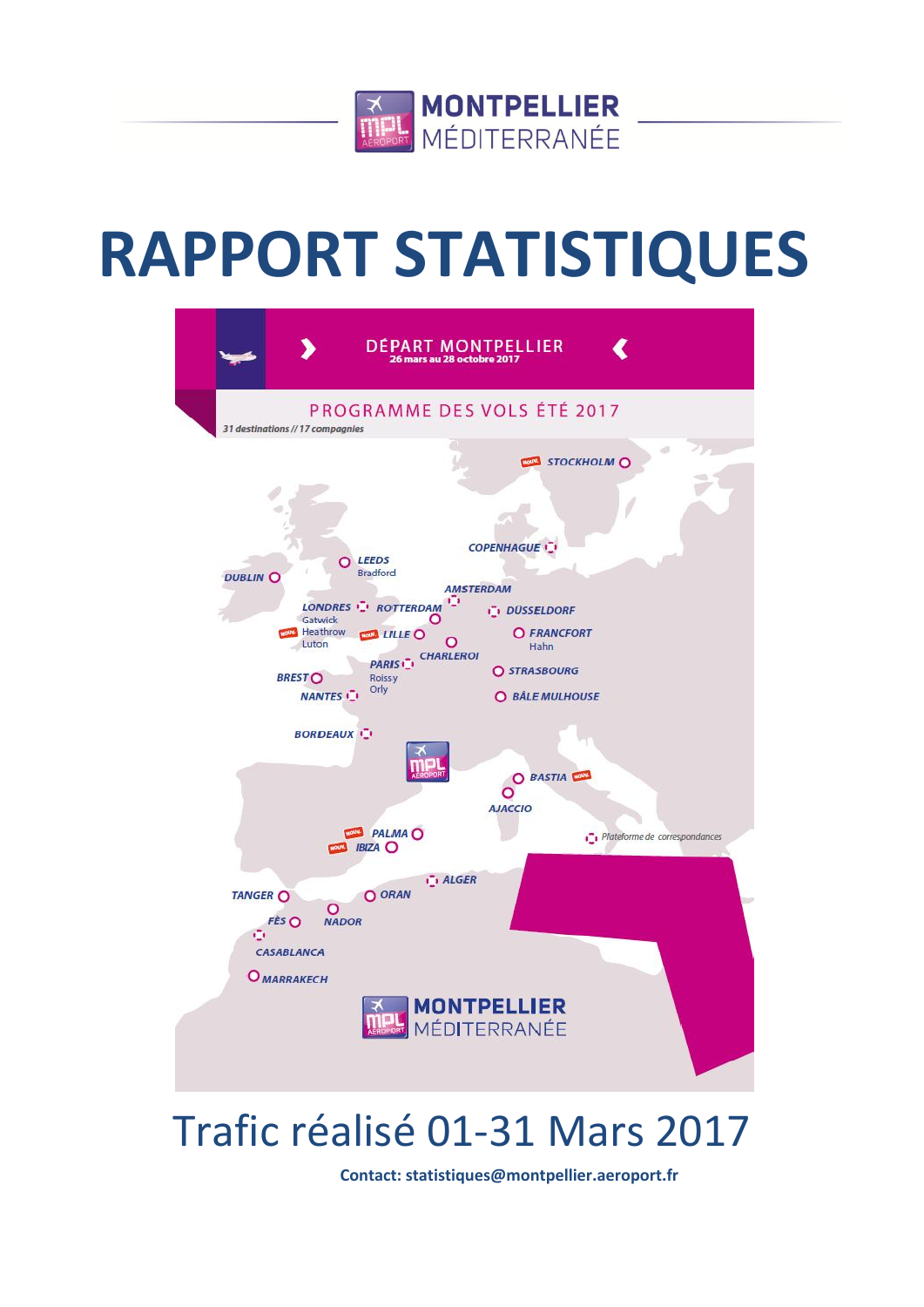

# **RAPPORT STATISTIQUES**



## Trafic réalisé 01-31 Mars 2017

**Contact: statistiques@montpellier.aeroport.fr**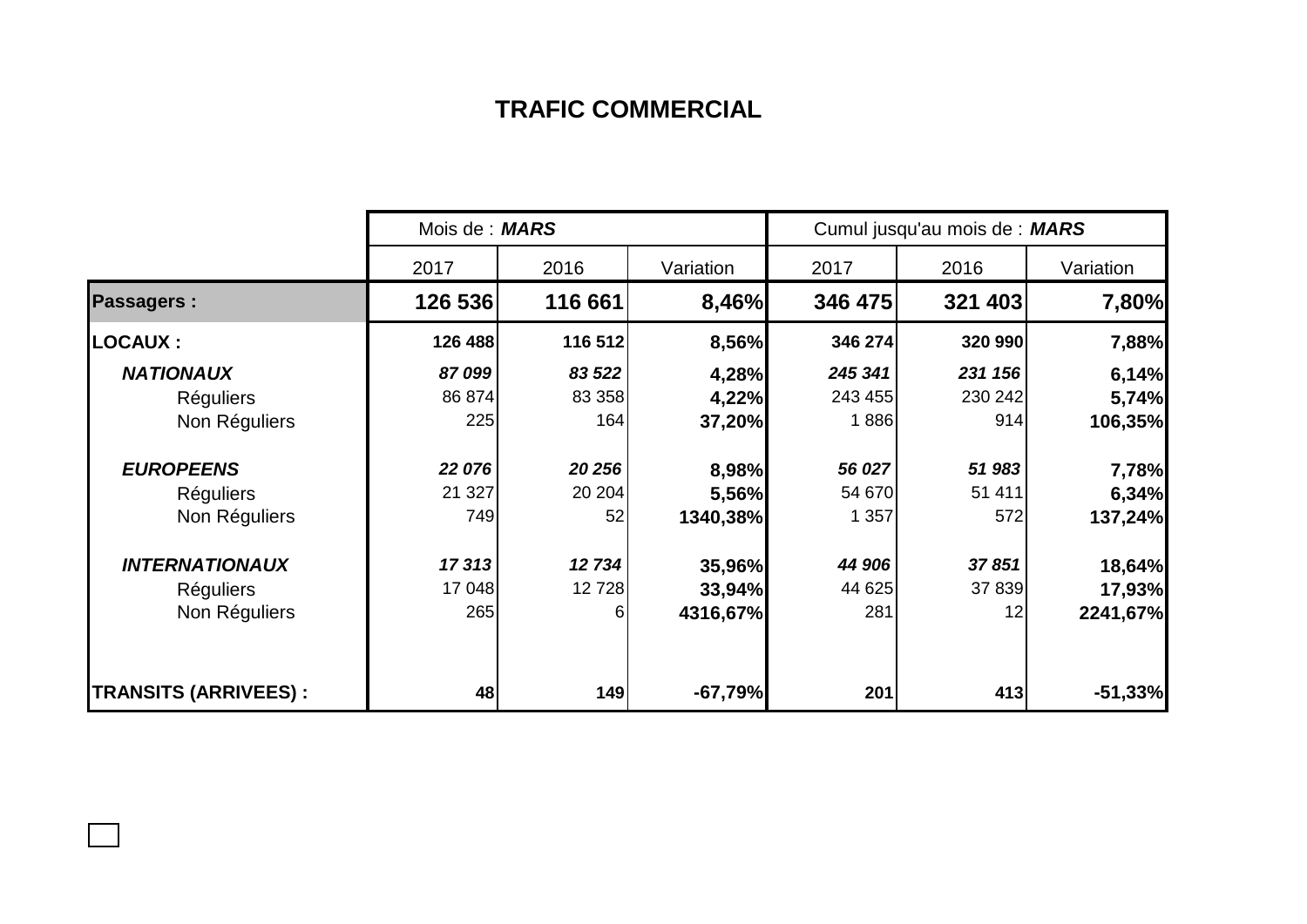## **TRAFIC COMMERCIAL**

|                             | Mois de : <b>MARS</b> |         |           | Cumul jusqu'au mois de : MARS |         |           |  |
|-----------------------------|-----------------------|---------|-----------|-------------------------------|---------|-----------|--|
|                             | 2017                  | 2016    | Variation | 2017                          | 2016    | Variation |  |
| <b>Passagers:</b>           | 126 536               | 116 661 | 8,46%     | 346 475                       | 321 403 | 7,80%     |  |
| <b>LOCAUX:</b>              | 126 488               | 116 512 | 8,56%     | 346 274                       | 320 990 | 7,88%     |  |
| <b>NATIONAUX</b>            | 87099                 | 83 522  | 4,28%     | 245 341                       | 231 156 | 6,14%     |  |
| <b>Réguliers</b>            | 86 874                | 83 358  | 4,22%     | 243 455                       | 230 242 | 5,74%     |  |
| Non Réguliers               | 225                   | 164     | 37,20%    | 1886                          | 914     | 106,35%   |  |
| <b>EUROPEENS</b>            | 22 076                | 20 256  | 8,98%     | 56 027                        | 51 983  | 7,78%     |  |
| <b>Réguliers</b>            | 21 3 27               | 20 20 4 | 5,56%     | 54 670                        | 51 411  | 6,34%     |  |
| Non Réguliers               | 749                   | 52      | 1340,38%  | 1 357                         | 572     | 137,24%   |  |
| <b>INTERNATIONAUX</b>       | 17313                 | 12 734  | 35,96%    | 44 906                        | 37851   | 18,64%    |  |
| <b>Réguliers</b>            | 17 048                | 12728   | 33,94%    | 44 625                        | 37 839  | 17,93%    |  |
| Non Réguliers               | 265                   | 6       | 4316,67%  | 281                           | 12      | 2241,67%  |  |
| <b>TRANSITS (ARRIVEES):</b> | 48                    | 149     | $-67,79%$ | 201                           | 413     | $-51,33%$ |  |

 $\Box$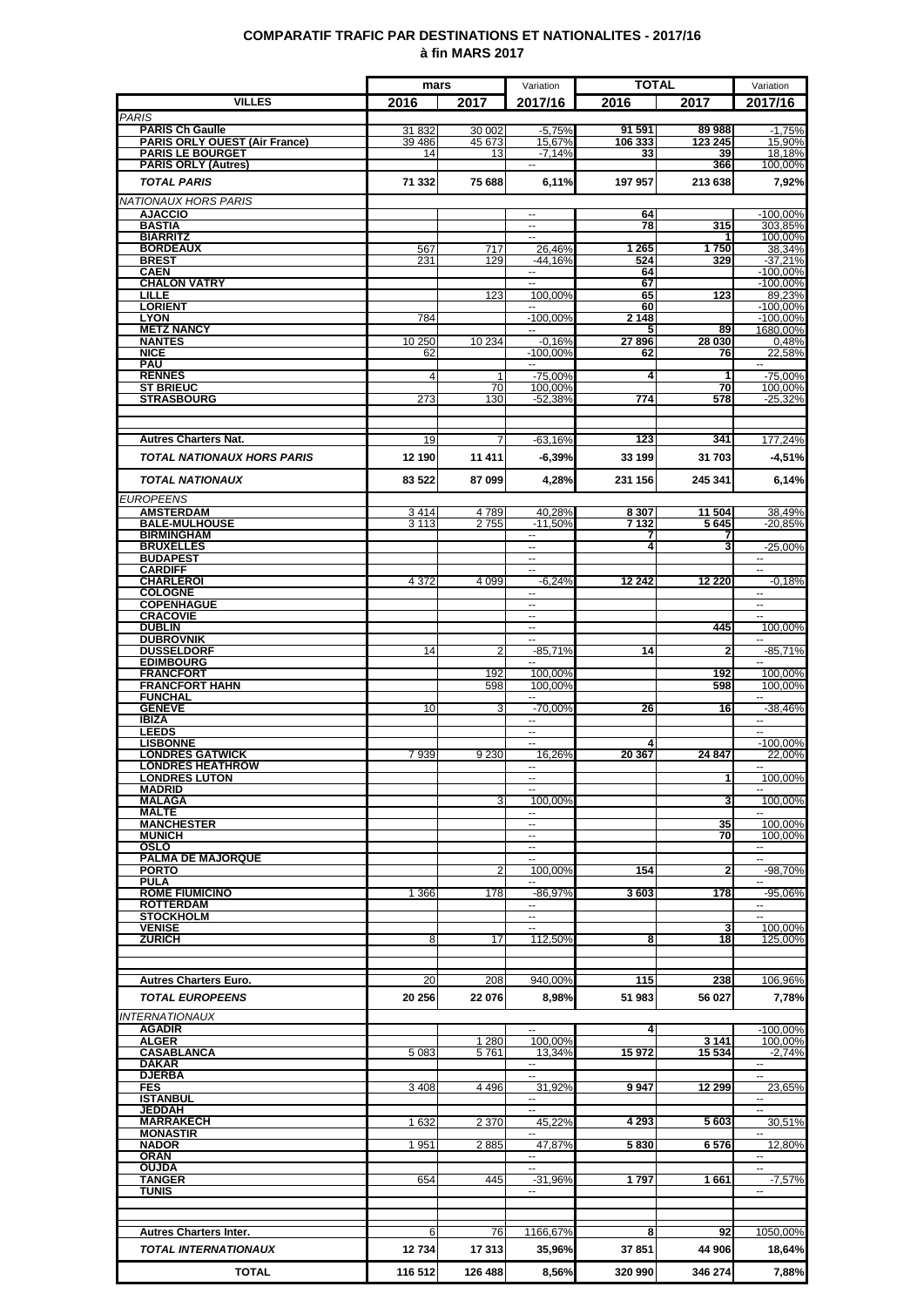### **COMPARATIF TRAFIC PAR DESTINATIONS ET NATIONALITES - 2017/16 à fin MARS 2017**

|                                                                | mars             |                  | Variation                                            | <b>TOTAL</b>      |                   | Variation                |
|----------------------------------------------------------------|------------------|------------------|------------------------------------------------------|-------------------|-------------------|--------------------------|
| <b>VILLES</b>                                                  | 2016             | 2017             | 2017/16                                              | 2016              | 2017              | 2017/16                  |
| <b>PARIS</b>                                                   |                  |                  |                                                      |                   |                   |                          |
| <b>PARIS Ch Gaulle</b><br><b>PARIS ORLY OUEST (Air France)</b> | 31 832<br>39 486 | 30 002<br>45 673 | $-5,75%$<br>15,67%                                   | 91 591<br>106 333 | 89 988<br>123 245 | $-1,75%$<br>15,90%       |
| <b>PARIS LE BOURGET</b>                                        | 14               | 13               | $-7.14%$                                             | 33                | 39                | 18,18%                   |
| <b>PARIS ORLY (Autres)</b>                                     |                  |                  |                                                      |                   | 366               | 100,00%                  |
| <b>TOTAL PARIS</b>                                             | 71 332           | 75 688           | 6,11%                                                | 197 957           | 213 638           | 7,92%                    |
| NATIONAUX HORS PARIS                                           |                  |                  |                                                      |                   |                   |                          |
| <b>AJACCIO</b><br><b>BASTIA</b>                                |                  |                  | --                                                   | 64<br>78          | 315               | -100,00%<br>303,85%      |
| <b>BIARRITZ</b>                                                |                  |                  | $\sim$                                               |                   |                   | 100,00%                  |
| <b>BORDEAUX</b><br><b>BREST</b>                                | 567<br>231       | 717<br>129       | 26,46%<br>$-44.16%$                                  | 1 2 6 5<br>524    | 1750<br>329       | 38,34%<br>-37,21%        |
| <b>CAEN</b>                                                    |                  |                  | $\overline{\phantom{a}}$                             | 64                |                   | $-100,00%$               |
| <b>CHALON VATRY</b><br><b>LILLE</b>                            |                  | 123              | Ξ<br>100,00%                                         | 67<br>65          | 123               | $-100.00\%$<br>89,23%    |
| <b>LORIENT</b>                                                 |                  |                  | −−                                                   | 60                |                   | $-100.00\%$              |
| <b>LYON</b><br><b>METZ NANCY</b>                               | 784              |                  | $-100,00%$<br>н.                                     | 2 1 4 8<br>5      | 89                | $-100,00%$<br>1680,00%   |
| <b>NANTES</b>                                                  | 10 250           | 10 234           | $-0.16%$                                             | 27896             | 28 030            | 0,48%                    |
| <b>NICE</b><br><b>PAU</b>                                      | 62               |                  | $-100,00%$<br>$\sim$                                 | 62                | 76                | 22,58%<br>$\sim$         |
| <b>RENNES</b>                                                  | 4                | 1                | $-75.00%$                                            | 4                 | 1                 | $-75.00%$                |
| <b>ST BRIEUC</b>                                               |                  | 70               | 100,00%                                              |                   | 70                | 100.00%                  |
| <b>STRASBOURG</b>                                              | 273              | 130              | $-52,38%$                                            | 774               | 578               | $-25,32%$                |
|                                                                |                  |                  |                                                      |                   |                   |                          |
| <b>Autres Charters Nat.</b>                                    | 19               |                  | $-63,16%$                                            | 123               | 341               | 177,24%                  |
| <b>TOTAL NATIONAUX HORS PARIS</b>                              | 12 190           | 11 411           | $-6,39%$                                             | 33 199            | 31 703            | $-4,51%$                 |
| <b>TOTAL NATIONAUX</b>                                         | 83 522           | 87 099           | 4,28%                                                | 231 156           | 245 341           | 6,14%                    |
| <b>EUROPEENS</b>                                               |                  |                  |                                                      |                   |                   |                          |
| <b>AMSTERDAM</b>                                               | 3414             | 4789             | 40,28%                                               | 8 3 0 7           | 11 504            | 38,49%                   |
| <b>BALE-MULHOUSE</b>                                           | 3 1 1 3          | 2755             | $-11,50%$                                            | 7 132             | 5645              | -20,85%                  |
| <b>BIRMINGHAM</b><br><b>BRUXELLES</b>                          |                  |                  | $\sim$<br>٠.                                         | 7<br>4            | 7<br>3            | $-25,00%$                |
| <b>BUDAPEST</b>                                                |                  |                  | $\overline{\phantom{a}}$                             |                   |                   | $\overline{\phantom{a}}$ |
| <b>CARDIFF</b><br><b>CHARLEROI</b>                             | 4 3 7 2          | 4 0 9 9          | --<br>$-6,24%$                                       | 12 24 2           | 12 2 20           | Ξ.<br>$-0.18%$           |
| <b>COLOGNE</b>                                                 |                  |                  |                                                      |                   |                   |                          |
| <b>COPENHAGUE</b><br><b>CRACOVIE</b>                           |                  |                  | --<br>$\sim$                                         |                   |                   | Щ,                       |
| <b>DUBLIN</b>                                                  |                  |                  | н.                                                   |                   | 445               | 100,00%                  |
| <b>DUBROVNIK</b><br><b>DUSSELDORF</b>                          | 14               | 2                | $\sim$<br>$-85,71%$                                  | 14                | 2                 | $-85,71%$                |
| <b>EDIMBOURG</b>                                               |                  |                  |                                                      |                   |                   |                          |
| <b>FRANCFORT</b><br><b>FRANCFORT HAHN</b>                      |                  | 192<br>598       | 100.00%<br>100,00%                                   |                   | 192<br>598        | 100,00%<br>100.00%       |
| <b>FUNCHAL</b>                                                 |                  |                  | --                                                   |                   |                   | ۰.                       |
| <b>GENEVE</b>                                                  | 10               | 3                | $-70,00%$                                            | 26                | 16                | $-38,46%$                |
| <b>IBIZA</b><br><b>LEEDS</b>                                   |                  |                  | --<br>$\sim$                                         |                   |                   | --                       |
| <b>LISBONNE</b>                                                |                  |                  | $\overline{\phantom{a}}$                             |                   |                   | $-100,00%$               |
| <b>LONDRES GATWICK</b><br><b>LONDRES HEATHROW</b>              | 7939             | 9 2 3 0          | 16,26%<br>⊷                                          | 20 367            | 24 847            | 22,00%<br>₩,             |
| <b>LONDRES LUTON</b>                                           |                  |                  |                                                      |                   | 1                 | 100,00%                  |
| <b>MADRID</b><br><b>MALAGA</b>                                 |                  | 3                | 100.00%                                              |                   | 3                 | 100,00%                  |
| <b>MALTE</b>                                                   |                  |                  | --                                                   |                   |                   |                          |
| <b>MANCHESTER</b><br><b>MUNICH</b>                             |                  |                  | $\overline{\phantom{a}}$<br>$\overline{\phantom{a}}$ |                   | 35<br>70          | 100,00%<br>100,00%       |
| OSLO                                                           |                  |                  | $\sim$                                               |                   |                   | $\sim$                   |
| <b>PALMA DE MAJORQUE</b><br><b>PORTO</b>                       |                  | $\overline{2}$   | $\overline{a}$<br>100.00%                            | 154               | 2                 | Щ,<br>-98,70%            |
| <b>PULA</b>                                                    |                  |                  |                                                      |                   |                   |                          |
| <b>ROME FIUMICINO</b><br><b>ROTTERDAM</b>                      | 1 3 6 6          | 178              | $-86,97%$<br>$\sim$                                  | 3603              | 178               | $-95,06%$<br>$\sim$      |
| <b>STOCKHOLM</b>                                               |                  |                  | н.                                                   |                   |                   | ц,                       |
| <b>VENISE</b><br><b>ZURICH</b>                                 | 8                | 17               | 112,50%                                              | 8                 | 3<br>18           | 100,00%                  |
|                                                                |                  |                  |                                                      |                   |                   | 125,00%                  |
|                                                                |                  |                  |                                                      |                   |                   |                          |
| <b>Autres Charters Euro.</b>                                   | 20               | 208              | 940,00%                                              | 115               | 238               | 106,96%                  |
| <b>TOTAL EUROPEENS</b>                                         | 20 25 6          | 22 076           | 8,98%                                                | 51 983            | 56 027            | 7,78%                    |
| <b>INTERNATIONAUX</b>                                          |                  |                  |                                                      |                   |                   |                          |
| <b>AGADIR</b><br><b>ALGER</b>                                  |                  | 1 2 8 0          | 100.00%                                              | 4                 | 3 1 4 1           | $-100,00%$<br>100,00%    |
| <b>CASABLANCA</b>                                              | 5 0 8 3          | 5761             | 13.34%                                               | 15972             | 15 5 34           | $-2.74%$                 |
| <b>DAKAR</b><br><b>DJERBA</b>                                  |                  |                  | н.<br>Ξ.                                             |                   |                   | $\mathbf{u}$             |
| <b>FES</b>                                                     | 3 4 0 8          | 4 4 9 6          | 31,92%                                               | 9947              | 12 299            | 23,65%                   |
| <b>ISTANBUL</b><br><b>JEDDAH</b>                               |                  |                  | --<br>μ.                                             |                   |                   | $\overline{\phantom{a}}$ |
| <b>MARRAKECH</b>                                               | 1632             | 2 3 7 0          | 45,22%                                               | 4 2 9 3           | 5603              | 30,51%                   |
| <b>MONASTIR</b>                                                |                  |                  |                                                      |                   |                   | $\overline{a}$           |
| <b>NADOR</b><br><b>ORAN</b>                                    | 1951             | 2885             | 47.87%<br>$\sim$                                     | 5830              | 6576              | 12.80%<br>$\sim$         |
| <b>OUJDA</b>                                                   |                  |                  | ц.                                                   |                   |                   | $\overline{\phantom{a}}$ |
| <b>TANGER</b><br>TUNIS                                         | 654              | 445              | $-31,96%$<br>−−                                      | 1797              | 1661              | $-7,57%$<br>--           |
|                                                                |                  |                  |                                                      |                   |                   |                          |
|                                                                |                  |                  |                                                      |                   |                   |                          |
| <b>Autres Charters Inter.</b>                                  | 6                | 76               | 1166,67%                                             | 8                 | 92                | 1050,00%                 |
| <b>TOTAL INTERNATIONAUX</b>                                    | 12734            | 17313            | 35,96%                                               | 37851             | 44 906            | 18,64%                   |
| <b>TOTAL</b>                                                   | 116 512          | 126 488          | 8,56%                                                | 320 990           | 346 274           | 7,88%                    |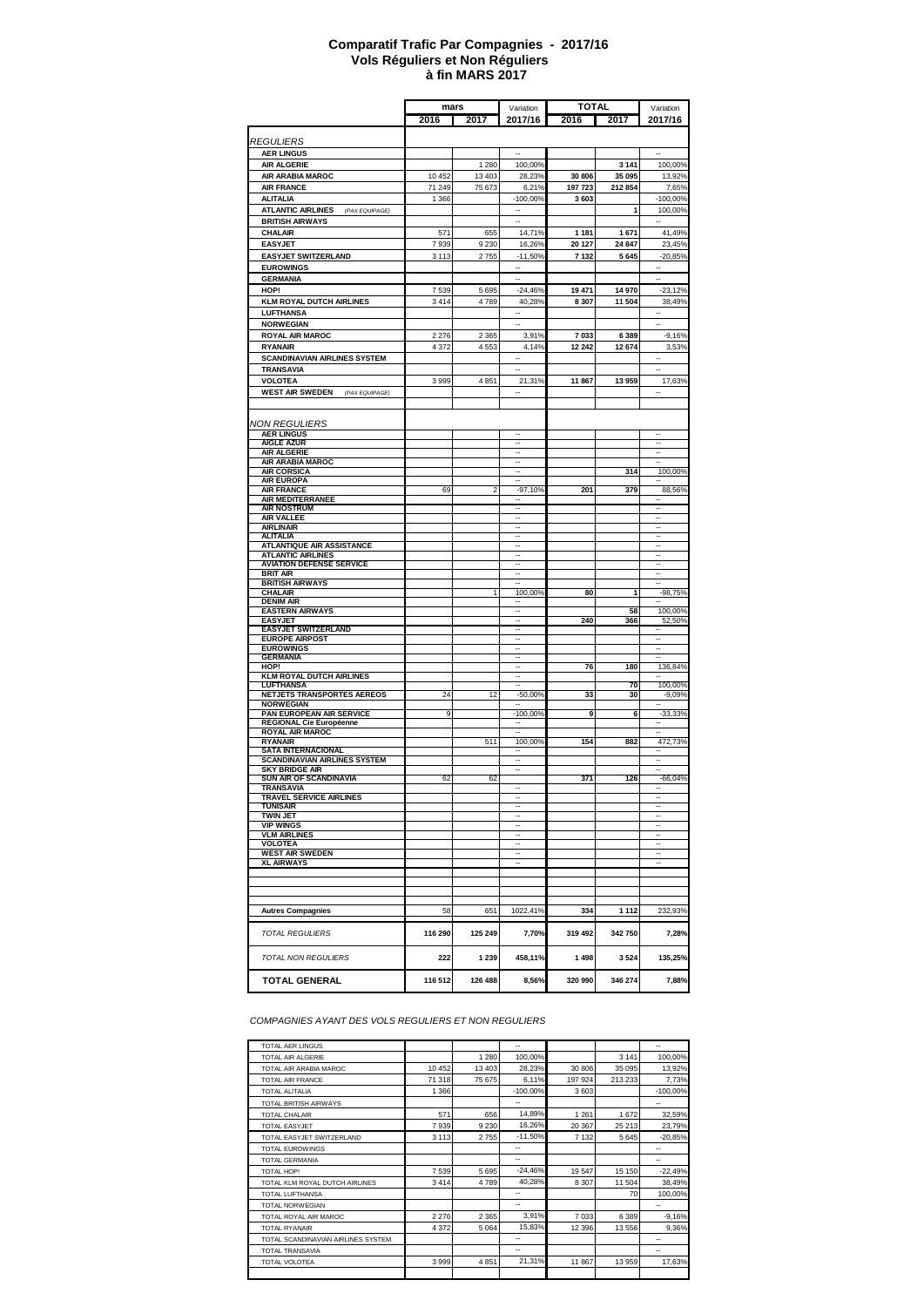#### **à fin MARS 2017 Comparatif Trafic Par Compagnies - 2017/16 Vols Réguliers et Non Réguliers**

|                                                                  | mars    |         | Variation                                            | <b>TOTAL</b> |         | Variation                                            |
|------------------------------------------------------------------|---------|---------|------------------------------------------------------|--------------|---------|------------------------------------------------------|
|                                                                  | 2016    | 2017    | 2017/16                                              | 2016         | 2017    | 2017/16                                              |
|                                                                  |         |         |                                                      |              |         |                                                      |
| <i><b>REGULIERS</b></i>                                          |         |         |                                                      |              |         |                                                      |
| <b>AER LINGUS</b><br><b>AIR ALGERIE</b>                          |         | 1 2 8 0 | 100,00%                                              |              | 3 1 4 1 | 100,00%                                              |
| <b>AIR ARABIA MAROC</b>                                          | 10 452  | 13 403  | 28,23%                                               | 30 806       | 35 095  | 13,92%                                               |
| <b>AIR FRANCE</b>                                                | 71 249  | 75 673  | 6,21%                                                | 197 723      | 212854  | 7,65%                                                |
| <b>ALITALIA</b>                                                  | 1 3 6 6 |         | $-100,00%$                                           | 3 603        |         | $-100,00%$                                           |
| <b>ATLANTIC AIRLINES</b><br>(PAX EQUIPAGE)                       |         |         | --                                                   |              | 1       | 100,00%                                              |
| <b>BRITISH AIRWAYS</b>                                           |         |         |                                                      |              |         |                                                      |
| <b>CHALAIR</b>                                                   | 571     | 655     | 14,71%                                               | 1 181        | 1671    | 41,49%                                               |
| <b>EASYJET</b>                                                   | 7939    | 9 2 3 0 | 16,26%                                               | 20 127       | 24 847  | 23,45%                                               |
| EASYJET SWITZERLAND                                              | 3 1 1 3 | 2755    | $-11,50%$                                            | 7 132        | 5645    | $-20,85%$                                            |
| <b>EUROWINGS</b><br><b>GERMANIA</b>                              |         |         |                                                      |              |         | ÷.                                                   |
| HOP!                                                             | 7539    | 5 6 9 5 | $-24,46%$                                            | 19 471       | 14 970  | $-23,12%$                                            |
| <b>KLM ROYAL DUTCH AIRLINES</b>                                  | 3414    | 4789    | 40,28%                                               | 8 3 0 7      | 11 504  | 38,49%                                               |
| <b>LUFTHANSA</b>                                                 |         |         | Ξ.                                                   |              |         | ÷                                                    |
| <b>NORWEGIAN</b>                                                 |         |         |                                                      |              |         |                                                      |
| <b>ROYAL AIR MAROC</b>                                           | 2 2 7 6 | 2 3 6 5 | 3,91%                                                | 7 0 3 3      | 6389    | $-9,16%$                                             |
| <b>RYANAIR</b>                                                   | 4 3 7 2 | 4553    | 4,14%                                                | 12 24 2      | 12674   | 3,53%                                                |
| <b>SCANDINAVIAN AIRLINES SYSTEM</b>                              |         |         |                                                      |              |         |                                                      |
| <b>TRANSAVIA</b>                                                 |         |         | L.                                                   |              |         | $\overline{\phantom{a}}$                             |
| VOLOTEA                                                          | 3 9 9 9 | 4851    | 21,31%                                               | 11867        | 13959   | 17,63%                                               |
| <b>WEST AIR SWEDEN</b> (PAX EQUIPAGE)                            |         |         | $\ddot{\phantom{a}}$                                 |              |         | $\overline{\phantom{a}}$                             |
|                                                                  |         |         |                                                      |              |         |                                                      |
| NON REGULIERS                                                    |         |         |                                                      |              |         |                                                      |
| <b>AER LINGUS</b>                                                |         |         | $\overline{\phantom{a}}$                             |              |         |                                                      |
| <b>AIGLE AZUR</b>                                                |         |         | $\overline{\phantom{a}}$<br>$\overline{\phantom{a}}$ |              |         | $\overline{\phantom{a}}$<br>$\overline{\phantom{a}}$ |
| <b>AIR ALGERIE</b><br><b>AIR ARABIA MAROC</b>                    |         |         | $\overline{\phantom{a}}$                             |              |         | $\overline{\phantom{a}}$                             |
| <b>AIR CORSICA</b>                                               |         |         | $\overline{\phantom{a}}$                             |              | 314     | 100,00%                                              |
| <b>AIR EUROPA</b>                                                |         |         | $\sim$                                               |              |         |                                                      |
| <b>AIR FRANCE</b><br><b>AIR MEDITERRANEE</b>                     | 69      | 2       | $-97,10%$                                            | 201          | 379     | 88,56%                                               |
| <b>AIR NOSTRUM</b>                                               |         |         | $\overline{\phantom{a}}$                             |              |         | $\overline{\phantom{a}}$                             |
| <b>AIR VALLEE</b><br><b>AIRLINAIR</b>                            |         |         | $\overline{\phantom{a}}$<br>$\overline{\phantom{a}}$ |              |         | $\overline{\phantom{a}}$<br>$\overline{\phantom{a}}$ |
| <b>ALITALIA</b>                                                  |         |         | $\overline{\phantom{a}}$                             |              |         | $\overline{\phantom{a}}$                             |
| <b>ATLANTIQUE AIR ASSISTANCE</b>                                 |         |         | $\overline{\phantom{a}}$                             |              |         | $\overline{\phantom{a}}$                             |
| <b>ATLANTIC AIRLINES</b>                                         |         |         | $\overline{\phantom{a}}$<br>$\overline{\phantom{a}}$ |              |         | $\overline{\phantom{a}}$<br>$\overline{\phantom{a}}$ |
| <b>AVIATION DEFENSE SERVICE</b><br>BRIT AIR                      |         |         | $\overline{\phantom{a}}$                             |              |         | $\overline{\phantom{a}}$                             |
| <b>BRITISH AIRWAYS</b>                                           |         |         |                                                      |              |         | $\overline{\phantom{a}}$                             |
| CHALAIR                                                          |         |         | 100,00%                                              | 80           | 1       | -98,75%                                              |
| <b>DENIM AIR</b><br><b>EASTERN AIRWAYS</b>                       |         |         | $\overline{\phantom{a}}$                             |              | 58      | 100,00%                                              |
| <b>EASYJET</b>                                                   |         |         | $\overline{\phantom{a}}$                             | 240          | 366     | 52,50%                                               |
| <b>EASYJET SWITZERLAND</b>                                       |         |         | $\overline{\phantom{a}}$<br>$\overline{\phantom{a}}$ |              |         | $\overline{\phantom{a}}$                             |
| <b>EUROPE AIRPOST</b><br><b>EUROWINGS</b>                        |         |         | $\overline{\phantom{a}}$                             |              |         | ۰.                                                   |
| <b>GERMANIA</b>                                                  |         |         | $\overline{\phantom{a}}$                             |              |         |                                                      |
| HOP!                                                             |         |         | $\overline{\phantom{a}}$                             | 76           | 180     | 136,84%                                              |
| <b>KLM ROYAL DUTCH AIRLINES</b><br><b>LUFTHANSA</b>              |         |         | $\overline{\phantom{a}}$                             |              | 70      | 100,00%                                              |
| <b>NETJETS TRANSPORTES AEREOS</b>                                | 24      | 12      | $-50,00%$                                            | 33           | 30      | $-9,09%$                                             |
| <b>NORWEGIAN</b>                                                 |         |         |                                                      |              |         |                                                      |
| PAN EUROPEAN AIR SERVICE<br><b>REGIONAL Cie Européenne</b>       | 9       |         | $-100,00%$                                           | 9            | 6       | $-33,33%$                                            |
| <b>ROYAL AIR MAROC</b>                                           |         |         |                                                      |              |         |                                                      |
| RYANAIR                                                          |         | 511     | 100,00%                                              | 154          | 882     | 472,73%                                              |
| <b>SATA INTERNACIONAL</b><br><b>SCANDINAVIAN AIRLINES SYSTEM</b> |         |         | $\overline{\phantom{a}}$                             |              |         | $\overline{\phantom{a}}$                             |
| <b>SKY BRIDGE AIR</b>                                            |         |         | $\overline{\phantom{a}}$                             |              |         |                                                      |
| SUN AIR OF SCANDINAVIA<br><b>TRANSAVIA</b>                       | 62      | 62      |                                                      | 371          | 126     | -66,04%                                              |
| TRAVEL SERVICE AIRLINES                                          |         |         | Ξ.                                                   |              |         | ۰.                                                   |
| TUNISAIR                                                         |         |         | $\overline{\phantom{a}}$                             |              |         | $\overline{\phantom{a}}$                             |
| <b>TWIN JET</b><br><b>VIP WINGS</b>                              |         |         | $\overline{\phantom{a}}$<br>$\overline{\phantom{a}}$ |              |         | $\overline{\phantom{a}}$<br>$\overline{\phantom{a}}$ |
| <b>VLM AIRLINES</b>                                              |         |         | $\overline{\phantom{a}}$                             |              |         | $\overline{\phantom{a}}$                             |
| VOLOTEA                                                          |         |         | $\overline{\phantom{a}}$                             |              |         | $\overline{\phantom{a}}$                             |
| <b>WEST AIR SWEDEN</b><br><b>XL AIRWAYS</b>                      |         |         | $\overline{\phantom{a}}$<br>$\overline{\phantom{a}}$ |              |         | $\overline{\phantom{a}}$<br>$\overline{\phantom{a}}$ |
|                                                                  |         |         |                                                      |              |         |                                                      |
|                                                                  |         |         |                                                      |              |         |                                                      |
|                                                                  |         |         |                                                      |              |         |                                                      |
| <b>Autres Compagnies</b>                                         | 58      | 651     | 1022,41%                                             | 334          | 1 1 1 2 | 232,93%                                              |
|                                                                  |         |         |                                                      |              |         |                                                      |
| <b>TOTAL REGULIERS</b>                                           | 116 290 | 125 249 | 7,70%                                                | 319 492      | 342750  | 7,28%                                                |
|                                                                  |         |         |                                                      |              |         |                                                      |
| <b>TOTAL NON REGULIERS</b>                                       | 222     | 1 2 3 9 | 458,11%                                              | 1498         | 3524    | 135,25%                                              |
|                                                                  |         |         |                                                      |              |         |                                                      |
| <b>TOTAL GENERAL</b>                                             | 116 512 | 126 488 | 8,56%                                                | 320 990      | 346 274 | 7,88%                                                |

*COMPAGNIES AYANT DES VOLS REGULIERS ET NON REGULIERS*

| <b>TOTAL AER LINGUS</b>            |         |         | -                        |         |         | --          |
|------------------------------------|---------|---------|--------------------------|---------|---------|-------------|
| TOTAL AIR ALGERIE                  |         | 1 2 8 0 | 100,00%                  |         | 3 1 4 1 | 100,00%     |
| TOTAL AIR ARABIA MAROC             | 10 452  | 13 403  | 28,23%                   | 30 806  | 35 095  | 13,92%      |
| <b>TOTAL AIR FRANCE</b>            | 71 318  | 75 675  | 6.11%                    | 197 924 | 213 233 | 7,73%       |
| <b>TOTAL ALITALIA</b>              | 1 3 6 6 |         | $-100,00%$               | 3603    |         | $-100.00\%$ |
| <b>TOTAL BRITISH AIRWAYS</b>       |         |         | ۰.                       |         |         | --          |
| <b>TOTAL CHALAIR</b>               | 571     | 656     | 14.89%                   | 1 2 6 1 | 1672    | 32,59%      |
| <b>TOTAL EASYJET</b>               | 7939    | 9 2 3 0 | 16,26%                   | 20 367  | 25 213  | 23,79%      |
| TOTAL EASYJET SWITZERLAND          | 3 1 1 3 | 2755    | $-11,50%$                | 7 1 3 2 | 5645    | $-20,85%$   |
| <b>TOTAL EUROWINGS</b>             |         |         | --                       |         |         | --          |
| <b>TOTAL GERMANIA</b>              |         |         | --                       |         |         | --          |
| TOTAL HOP!                         | 7539    | 5 6 9 5 | $-24,46%$                | 19 547  | 15 150  | $-22,49%$   |
| TOTAL KLM ROYAL DUTCH AIRLINES     | 3414    | 4789    | 40,28%                   | 8 3 0 7 | 11 504  | 38,49%      |
| <b>TOTAL LUFTHANSA</b>             |         |         | --                       |         | 70      | 100,00%     |
| <b>TOTAL NORWEGIAN</b>             |         |         | $\overline{\phantom{a}}$ |         |         | --          |
| TOTAL ROYAL AIR MAROC              | 2 2 7 6 | 2 3 6 5 | 3,91%                    | 7 0 3 3 | 6389    | $-9,16%$    |
| <b>TOTAL RYANAIR</b>               | 4 3 7 2 | 5 0 64  | 15,83%                   | 12 3 96 | 13556   | 9,36%       |
| TOTAL SCANDINAVIAN AIRLINES SYSTEM |         |         | --                       |         |         | --          |
| <b>TOTAL TRANSAVIA</b>             |         |         | --                       |         |         | --          |
| TOTAL VOLOTEA                      | 3999    | 4851    | 21,31%                   | 11 867  | 13 959  | 17,63%      |
|                                    |         |         |                          |         |         |             |